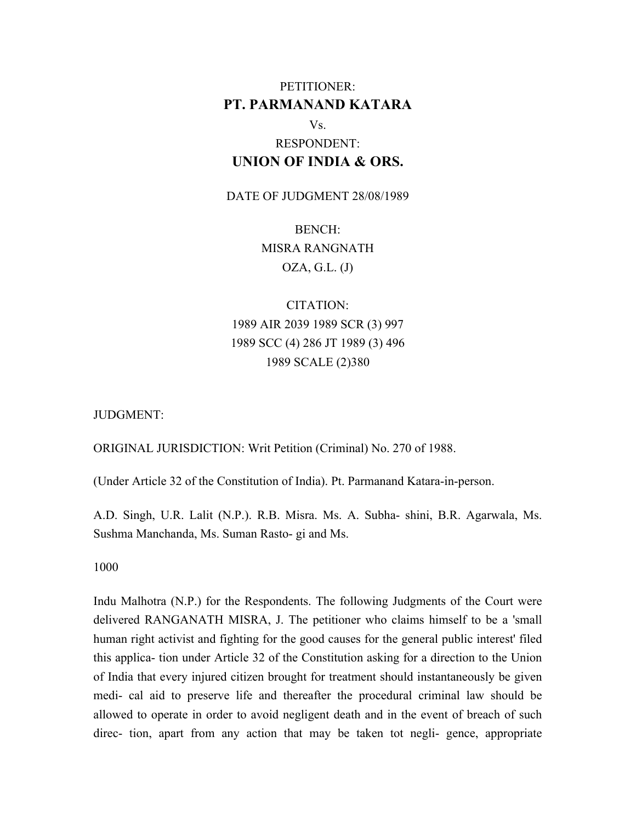# PETITIONER: **PT. PARMANAND KATARA**

#### Vs.

## RESPONDENT: **UNION OF INDIA & ORS.**

#### DATE OF JUDGMENT 28/08/1989

BENCH: MISRA RANGNATH OZA, G.L. (J)

## CITATION: 1989 AIR 2039 1989 SCR (3) 997 1989 SCC (4) 286 JT 1989 (3) 496 1989 SCALE (2)380

JUDGMENT:

ORIGINAL JURISDICTION: Writ Petition (Criminal) No. 270 of 1988.

(Under Article 32 of the Constitution of India). Pt. Parmanand Katara-in-person.

A.D. Singh, U.R. Lalit (N.P.). R.B. Misra. Ms. A. Subha- shini, B.R. Agarwala, Ms. Sushma Manchanda, Ms. Suman Rasto- gi and Ms.

1000

Indu Malhotra (N.P.) for the Respondents. The following Judgments of the Court were delivered RANGANATH MISRA, J. The petitioner who claims himself to be a 'small human right activist and fighting for the good causes for the general public interest' filed this applica- tion under Article 32 of the Constitution asking for a direction to the Union of India that every injured citizen brought for treatment should instantaneously be given medi- cal aid to preserve life and thereafter the procedural criminal law should be allowed to operate in order to avoid negligent death and in the event of breach of such direc- tion, apart from any action that may be taken tot negli- gence, appropriate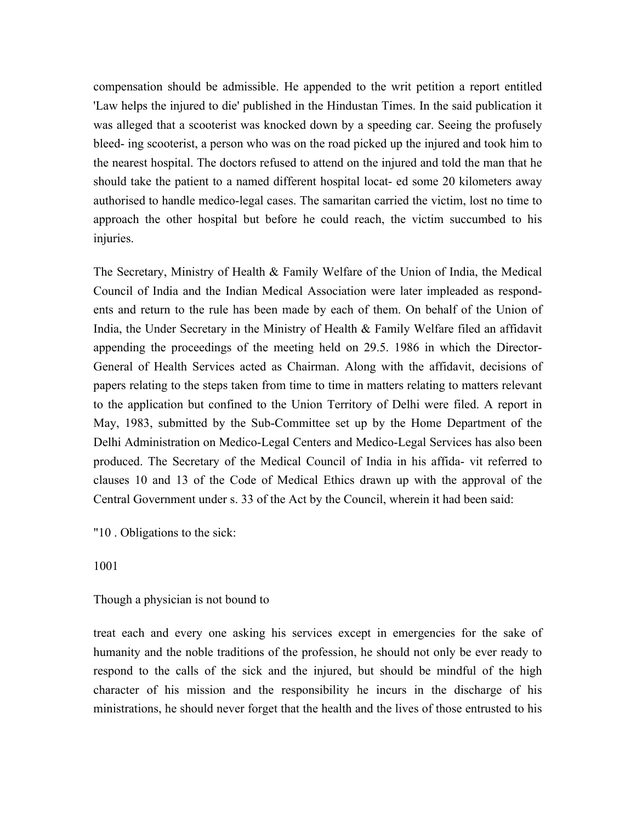compensation should be admissible. He appended to the writ petition a report entitled 'Law helps the injured to die' published in the Hindustan Times. In the said publication it was alleged that a scooterist was knocked down by a speeding car. Seeing the profusely bleed- ing scooterist, a person who was on the road picked up the injured and took him to the nearest hospital. The doctors refused to attend on the injured and told the man that he should take the patient to a named different hospital locat- ed some 20 kilometers away authorised to handle medico-legal cases. The samaritan carried the victim, lost no time to approach the other hospital but before he could reach, the victim succumbed to his injuries.

The Secretary, Ministry of Health & Family Welfare of the Union of India, the Medical Council of India and the Indian Medical Association were later impleaded as respondents and return to the rule has been made by each of them. On behalf of the Union of India, the Under Secretary in the Ministry of Health & Family Welfare filed an affidavit appending the proceedings of the meeting held on 29.5. 1986 in which the Director-General of Health Services acted as Chairman. Along with the affidavit, decisions of papers relating to the steps taken from time to time in matters relating to matters relevant to the application but confined to the Union Territory of Delhi were filed. A report in May, 1983, submitted by the Sub-Committee set up by the Home Department of the Delhi Administration on Medico-Legal Centers and Medico-Legal Services has also been produced. The Secretary of the Medical Council of India in his affida- vit referred to clauses 10 and 13 of the Code of Medical Ethics drawn up with the approval of the Central Government under s. 33 of the Act by the Council, wherein it had been said:

"10 . Obligations to the sick:

1001

## Though a physician is not bound to

treat each and every one asking his services except in emergencies for the sake of humanity and the noble traditions of the profession, he should not only be ever ready to respond to the calls of the sick and the injured, but should be mindful of the high character of his mission and the responsibility he incurs in the discharge of his ministrations, he should never forget that the health and the lives of those entrusted to his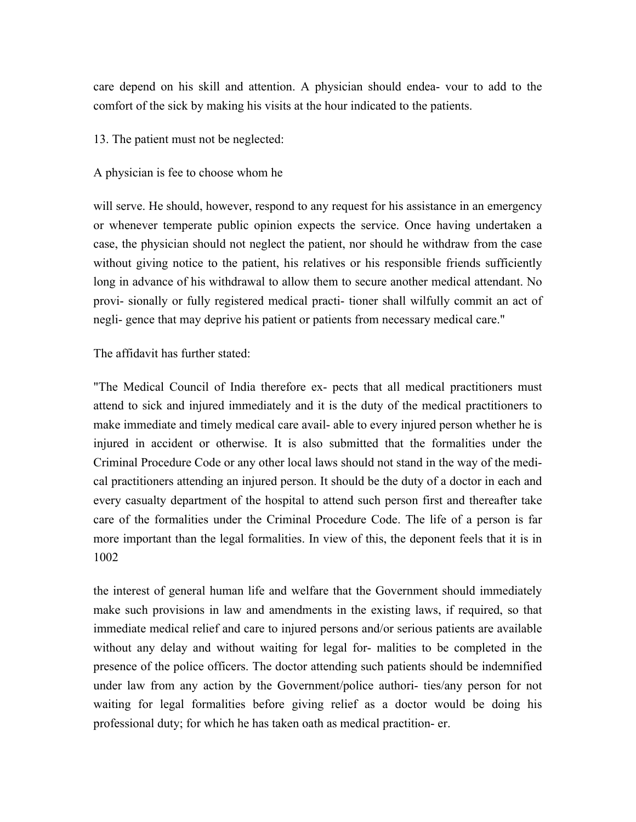care depend on his skill and attention. A physician should endea- vour to add to the comfort of the sick by making his visits at the hour indicated to the patients.

13. The patient must not be neglected:

A physician is fee to choose whom he

will serve. He should, however, respond to any request for his assistance in an emergency or whenever temperate public opinion expects the service. Once having undertaken a case, the physician should not neglect the patient, nor should he withdraw from the case without giving notice to the patient, his relatives or his responsible friends sufficiently long in advance of his withdrawal to allow them to secure another medical attendant. No provi- sionally or fully registered medical practi- tioner shall wilfully commit an act of negli- gence that may deprive his patient or patients from necessary medical care."

The affidavit has further stated:

"The Medical Council of India therefore ex- pects that all medical practitioners must attend to sick and injured immediately and it is the duty of the medical practitioners to make immediate and timely medical care avail- able to every injured person whether he is injured in accident or otherwise. It is also submitted that the formalities under the Criminal Procedure Code or any other local laws should not stand in the way of the medical practitioners attending an injured person. It should be the duty of a doctor in each and every casualty department of the hospital to attend such person first and thereafter take care of the formalities under the Criminal Procedure Code. The life of a person is far more important than the legal formalities. In view of this, the deponent feels that it is in 1002

the interest of general human life and welfare that the Government should immediately make such provisions in law and amendments in the existing laws, if required, so that immediate medical relief and care to injured persons and/or serious patients are available without any delay and without waiting for legal for- malities to be completed in the presence of the police officers. The doctor attending such patients should be indemnified under law from any action by the Government/police authori- ties/any person for not waiting for legal formalities before giving relief as a doctor would be doing his professional duty; for which he has taken oath as medical practition- er.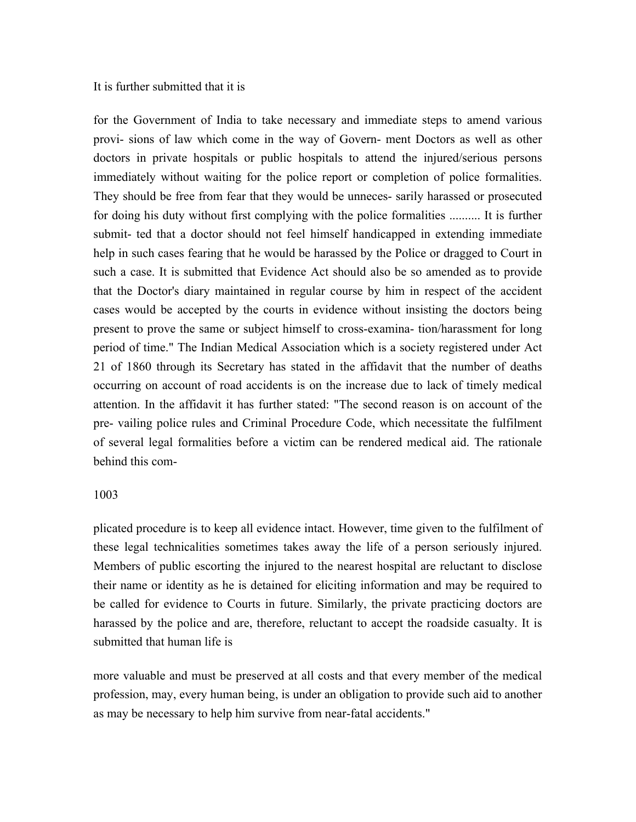#### It is further submitted that it is

for the Government of India to take necessary and immediate steps to amend various provi- sions of law which come in the way of Govern- ment Doctors as well as other doctors in private hospitals or public hospitals to attend the injured/serious persons immediately without waiting for the police report or completion of police formalities. They should be free from fear that they would be unneces- sarily harassed or prosecuted for doing his duty without first complying with the police formalities .......... It is further submit- ted that a doctor should not feel himself handicapped in extending immediate help in such cases fearing that he would be harassed by the Police or dragged to Court in such a case. It is submitted that Evidence Act should also be so amended as to provide that the Doctor's diary maintained in regular course by him in respect of the accident cases would be accepted by the courts in evidence without insisting the doctors being present to prove the same or subject himself to cross-examina- tion/harassment for long period of time." The Indian Medical Association which is a society registered under Act 21 of 1860 through its Secretary has stated in the affidavit that the number of deaths occurring on account of road accidents is on the increase due to lack of timely medical attention. In the affidavit it has further stated: "The second reason is on account of the pre- vailing police rules and Criminal Procedure Code, which necessitate the fulfilment of several legal formalities before a victim can be rendered medical aid. The rationale behind this com-

#### 1003

plicated procedure is to keep all evidence intact. However, time given to the fulfilment of these legal technicalities sometimes takes away the life of a person seriously injured. Members of public escorting the injured to the nearest hospital are reluctant to disclose their name or identity as he is detained for eliciting information and may be required to be called for evidence to Courts in future. Similarly, the private practicing doctors are harassed by the police and are, therefore, reluctant to accept the roadside casualty. It is submitted that human life is

more valuable and must be preserved at all costs and that every member of the medical profession, may, every human being, is under an obligation to provide such aid to another as may be necessary to help him survive from near-fatal accidents."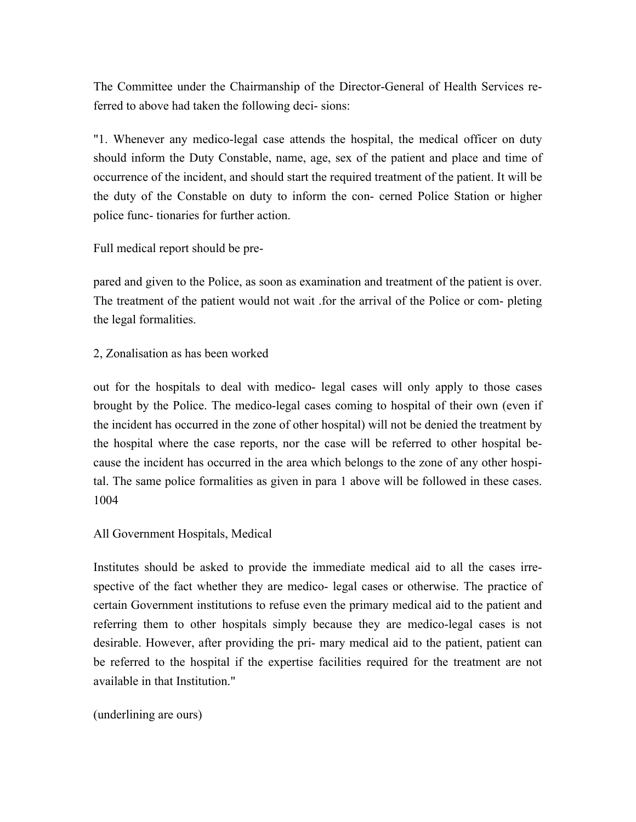The Committee under the Chairmanship of the Director-General of Health Services referred to above had taken the following deci- sions:

"1. Whenever any medico-legal case attends the hospital, the medical officer on duty should inform the Duty Constable, name, age, sex of the patient and place and time of occurrence of the incident, and should start the required treatment of the patient. It will be the duty of the Constable on duty to inform the con- cerned Police Station or higher police func- tionaries for further action.

Full medical report should be pre-

pared and given to the Police, as soon as examination and treatment of the patient is over. The treatment of the patient would not wait .for the arrival of the Police or com- pleting the legal formalities.

## 2, Zonalisation as has been worked

out for the hospitals to deal with medico- legal cases will only apply to those cases brought by the Police. The medico-legal cases coming to hospital of their own (even if the incident has occurred in the zone of other hospital) will not be denied the treatment by the hospital where the case reports, nor the case will be referred to other hospital because the incident has occurred in the area which belongs to the zone of any other hospital. The same police formalities as given in para 1 above will be followed in these cases. 1004

## All Government Hospitals, Medical

Institutes should be asked to provide the immediate medical aid to all the cases irrespective of the fact whether they are medico- legal cases or otherwise. The practice of certain Government institutions to refuse even the primary medical aid to the patient and referring them to other hospitals simply because they are medico-legal cases is not desirable. However, after providing the pri- mary medical aid to the patient, patient can be referred to the hospital if the expertise facilities required for the treatment are not available in that Institution."

(underlining are ours)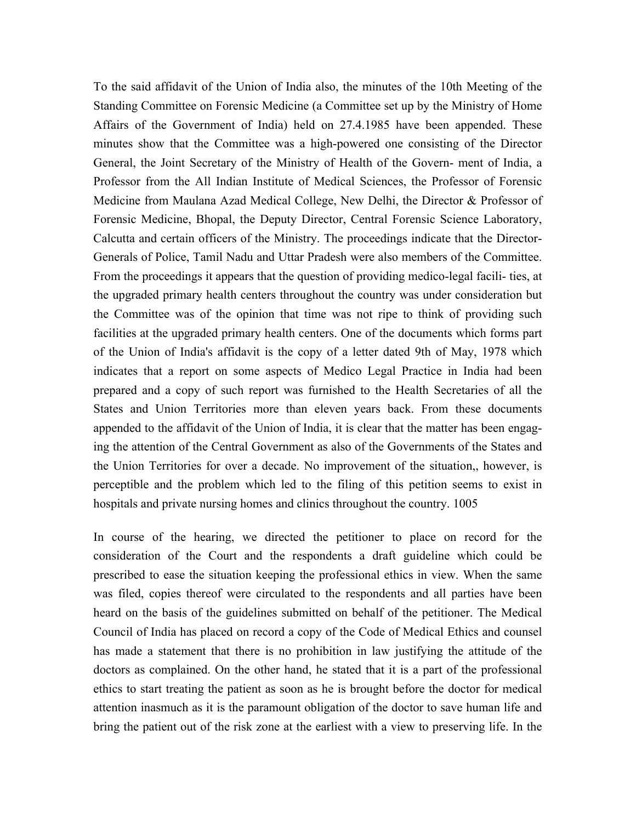To the said affidavit of the Union of India also, the minutes of the 10th Meeting of the Standing Committee on Forensic Medicine (a Committee set up by the Ministry of Home Affairs of the Government of India) held on 27.4.1985 have been appended. These minutes show that the Committee was a high-powered one consisting of the Director General, the Joint Secretary of the Ministry of Health of the Govern- ment of India, a Professor from the All Indian Institute of Medical Sciences, the Professor of Forensic Medicine from Maulana Azad Medical College, New Delhi, the Director & Professor of Forensic Medicine, Bhopal, the Deputy Director, Central Forensic Science Laboratory, Calcutta and certain officers of the Ministry. The proceedings indicate that the Director-Generals of Police, Tamil Nadu and Uttar Pradesh were also members of the Committee. From the proceedings it appears that the question of providing medico-legal facili- ties, at the upgraded primary health centers throughout the country was under consideration but the Committee was of the opinion that time was not ripe to think of providing such facilities at the upgraded primary health centers. One of the documents which forms part of the Union of India's affidavit is the copy of a letter dated 9th of May, 1978 which indicates that a report on some aspects of Medico Legal Practice in India had been prepared and a copy of such report was furnished to the Health Secretaries of all the States and Union Territories more than eleven years back. From these documents appended to the affidavit of the Union of India, it is clear that the matter has been engaging the attention of the Central Government as also of the Governments of the States and the Union Territories for over a decade. No improvement of the situation,, however, is perceptible and the problem which led to the filing of this petition seems to exist in hospitals and private nursing homes and clinics throughout the country. 1005

In course of the hearing, we directed the petitioner to place on record for the consideration of the Court and the respondents a draft guideline which could be prescribed to ease the situation keeping the professional ethics in view. When the same was filed, copies thereof were circulated to the respondents and all parties have been heard on the basis of the guidelines submitted on behalf of the petitioner. The Medical Council of India has placed on record a copy of the Code of Medical Ethics and counsel has made a statement that there is no prohibition in law justifying the attitude of the doctors as complained. On the other hand, he stated that it is a part of the professional ethics to start treating the patient as soon as he is brought before the doctor for medical attention inasmuch as it is the paramount obligation of the doctor to save human life and bring the patient out of the risk zone at the earliest with a view to preserving life. In the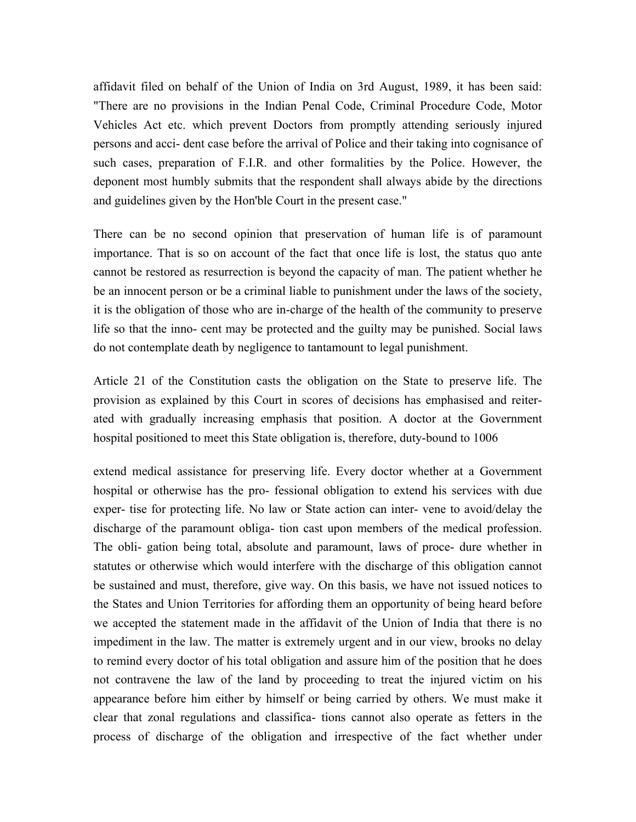affidavit filed on behalf of the Union of India on 3rd August, 1989, it has been said: "There are no provisions in the Indian Penal Code, Criminal Procedure Code, Motor Vehicles Act etc. which prevent Doctors from promptly attending seriously injured persons and acci- dent case before the arrival of Police and their taking into cognisance of such cases, preparation of F.I.R. and other formalities by the Police. However, the deponent most humbly submits that the respondent shall always abide by the directions and guidelines given by the Hon'ble Court in the present case."

There can be no second opinion that preservation of human life is of paramount importance. That is so on account of the fact that once life is lost, the status quo ante cannot be restored as resurrection is beyond the capacity of man. The patient whether he be an innocent person or be a criminal liable to punishment under the laws of the society, it is the obligation of those who are in-charge of the health of the community to preserve life so that the inno- cent may be protected and the guilty may be punished. Social laws do not contemplate death by negligence to tantamount to legal punishment.

Article 21 of the Constitution casts the obligation on the State to preserve life. The provision as explained by this Court in scores of decisions has emphasised and reiterated with gradually increasing emphasis that position. A doctor at the Government hospital positioned to meet this State obligation is, therefore, duty-bound to 1006

extend medical assistance for preserving life. Every doctor whether at a Government hospital or otherwise has the pro- fessional obligation to extend his services with due exper- tise for protecting life. No law or State action can inter- vene to avoid/delay the discharge of the paramount obliga- tion cast upon members of the medical profession. The obli- gation being total, absolute and paramount, laws of proce- dure whether in statutes or otherwise which would interfere with the discharge of this obligation cannot be sustained and must, therefore, give way. On this basis, we have not issued notices to the States and Union Territories for affording them an opportunity of being heard before we accepted the statement made in the affidavit of the Union of India that there is no impediment in the law. The matter is extremely urgent and in our view, brooks no delay to remind every doctor of his total obligation and assure him of the position that he does not contravene the law of the land by proceeding to treat the injured victim on his appearance before him either by himself or being carried by others. We must make it clear that zonal regulations and classifica- tions cannot also operate as fetters in the process of discharge of the obligation and irrespective of the fact whether under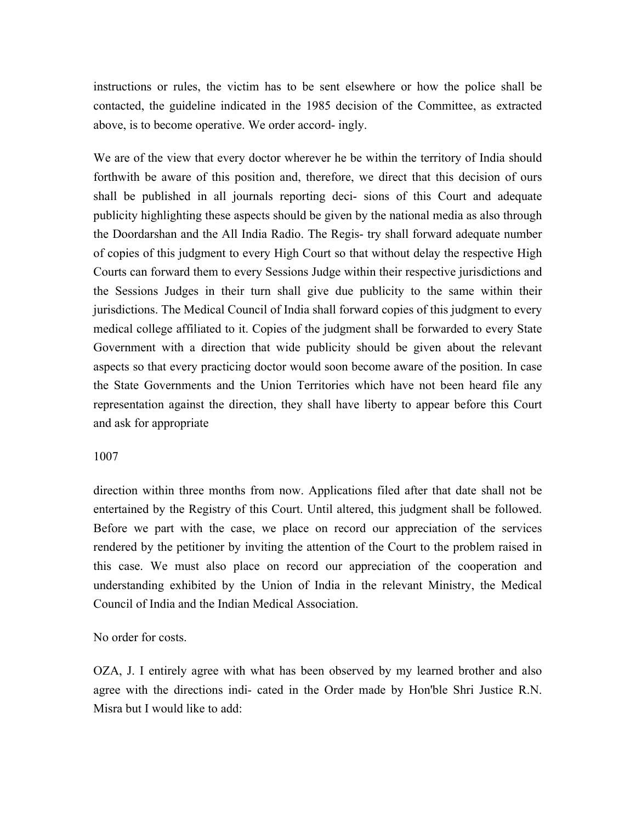instructions or rules, the victim has to be sent elsewhere or how the police shall be contacted, the guideline indicated in the 1985 decision of the Committee, as extracted above, is to become operative. We order accord- ingly.

We are of the view that every doctor wherever he be within the territory of India should forthwith be aware of this position and, therefore, we direct that this decision of ours shall be published in all journals reporting deci- sions of this Court and adequate publicity highlighting these aspects should be given by the national media as also through the Doordarshan and the All India Radio. The Regis- try shall forward adequate number of copies of this judgment to every High Court so that without delay the respective High Courts can forward them to every Sessions Judge within their respective jurisdictions and the Sessions Judges in their turn shall give due publicity to the same within their jurisdictions. The Medical Council of India shall forward copies of this judgment to every medical college affiliated to it. Copies of the judgment shall be forwarded to every State Government with a direction that wide publicity should be given about the relevant aspects so that every practicing doctor would soon become aware of the position. In case the State Governments and the Union Territories which have not been heard file any representation against the direction, they shall have liberty to appear before this Court and ask for appropriate

#### 1007

direction within three months from now. Applications filed after that date shall not be entertained by the Registry of this Court. Until altered, this judgment shall be followed. Before we part with the case, we place on record our appreciation of the services rendered by the petitioner by inviting the attention of the Court to the problem raised in this case. We must also place on record our appreciation of the cooperation and understanding exhibited by the Union of India in the relevant Ministry, the Medical Council of India and the Indian Medical Association.

No order for costs.

OZA, J. I entirely agree with what has been observed by my learned brother and also agree with the directions indi- cated in the Order made by Hon'ble Shri Justice R.N. Misra but I would like to add: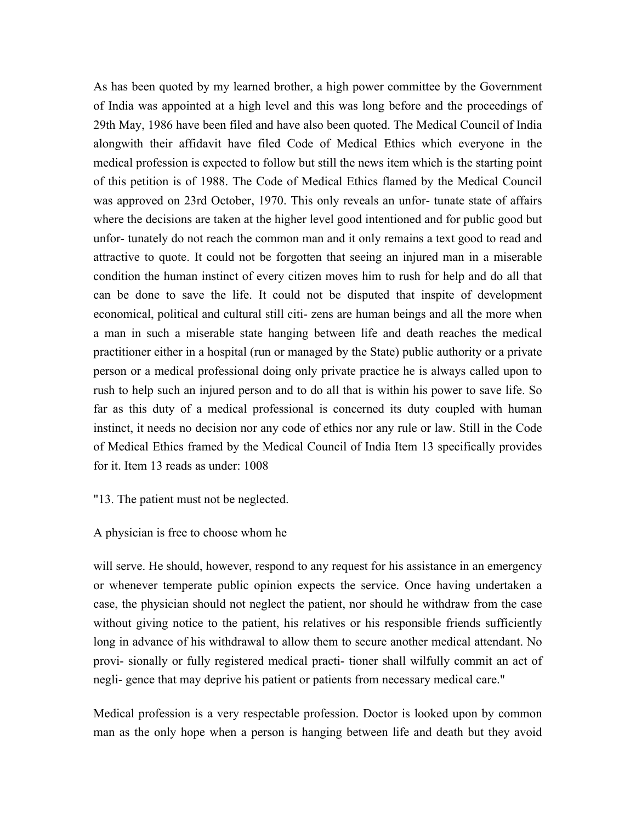As has been quoted by my learned brother, a high power committee by the Government of India was appointed at a high level and this was long before and the proceedings of 29th May, 1986 have been filed and have also been quoted. The Medical Council of India alongwith their affidavit have filed Code of Medical Ethics which everyone in the medical profession is expected to follow but still the news item which is the starting point of this petition is of 1988. The Code of Medical Ethics flamed by the Medical Council was approved on 23rd October, 1970. This only reveals an unfor- tunate state of affairs where the decisions are taken at the higher level good intentioned and for public good but unfor- tunately do not reach the common man and it only remains a text good to read and attractive to quote. It could not be forgotten that seeing an injured man in a miserable condition the human instinct of every citizen moves him to rush for help and do all that can be done to save the life. It could not be disputed that inspite of development economical, political and cultural still citi- zens are human beings and all the more when a man in such a miserable state hanging between life and death reaches the medical practitioner either in a hospital (run or managed by the State) public authority or a private person or a medical professional doing only private practice he is always called upon to rush to help such an injured person and to do all that is within his power to save life. So far as this duty of a medical professional is concerned its duty coupled with human instinct, it needs no decision nor any code of ethics nor any rule or law. Still in the Code of Medical Ethics framed by the Medical Council of India Item 13 specifically provides for it. Item 13 reads as under: 1008

"13. The patient must not be neglected.

A physician is free to choose whom he

will serve. He should, however, respond to any request for his assistance in an emergency or whenever temperate public opinion expects the service. Once having undertaken a case, the physician should not neglect the patient, nor should he withdraw from the case without giving notice to the patient, his relatives or his responsible friends sufficiently long in advance of his withdrawal to allow them to secure another medical attendant. No provi- sionally or fully registered medical practi- tioner shall wilfully commit an act of negli- gence that may deprive his patient or patients from necessary medical care."

Medical profession is a very respectable profession. Doctor is looked upon by common man as the only hope when a person is hanging between life and death but they avoid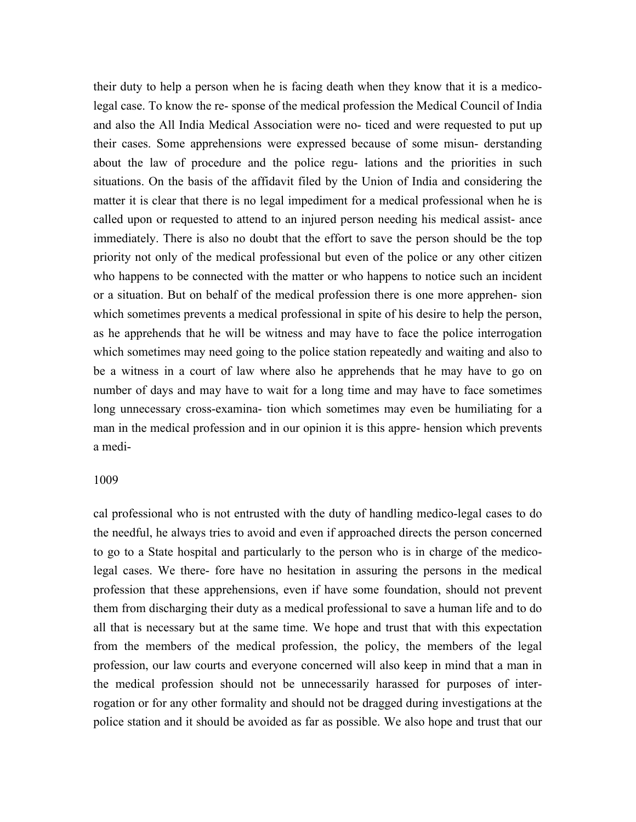their duty to help a person when he is facing death when they know that it is a medicolegal case. To know the re- sponse of the medical profession the Medical Council of India and also the All India Medical Association were no- ticed and were requested to put up their cases. Some apprehensions were expressed because of some misun- derstanding about the law of procedure and the police regu- lations and the priorities in such situations. On the basis of the affidavit filed by the Union of India and considering the matter it is clear that there is no legal impediment for a medical professional when he is called upon or requested to attend to an injured person needing his medical assist- ance immediately. There is also no doubt that the effort to save the person should be the top priority not only of the medical professional but even of the police or any other citizen who happens to be connected with the matter or who happens to notice such an incident or a situation. But on behalf of the medical profession there is one more apprehen- sion which sometimes prevents a medical professional in spite of his desire to help the person, as he apprehends that he will be witness and may have to face the police interrogation which sometimes may need going to the police station repeatedly and waiting and also to be a witness in a court of law where also he apprehends that he may have to go on number of days and may have to wait for a long time and may have to face sometimes long unnecessary cross-examina- tion which sometimes may even be humiliating for a man in the medical profession and in our opinion it is this appre- hension which prevents a medi-

#### 1009

cal professional who is not entrusted with the duty of handling medico-legal cases to do the needful, he always tries to avoid and even if approached directs the person concerned to go to a State hospital and particularly to the person who is in charge of the medicolegal cases. We there- fore have no hesitation in assuring the persons in the medical profession that these apprehensions, even if have some foundation, should not prevent them from discharging their duty as a medical professional to save a human life and to do all that is necessary but at the same time. We hope and trust that with this expectation from the members of the medical profession, the policy, the members of the legal profession, our law courts and everyone concerned will also keep in mind that a man in the medical profession should not be unnecessarily harassed for purposes of interrogation or for any other formality and should not be dragged during investigations at the police station and it should be avoided as far as possible. We also hope and trust that our